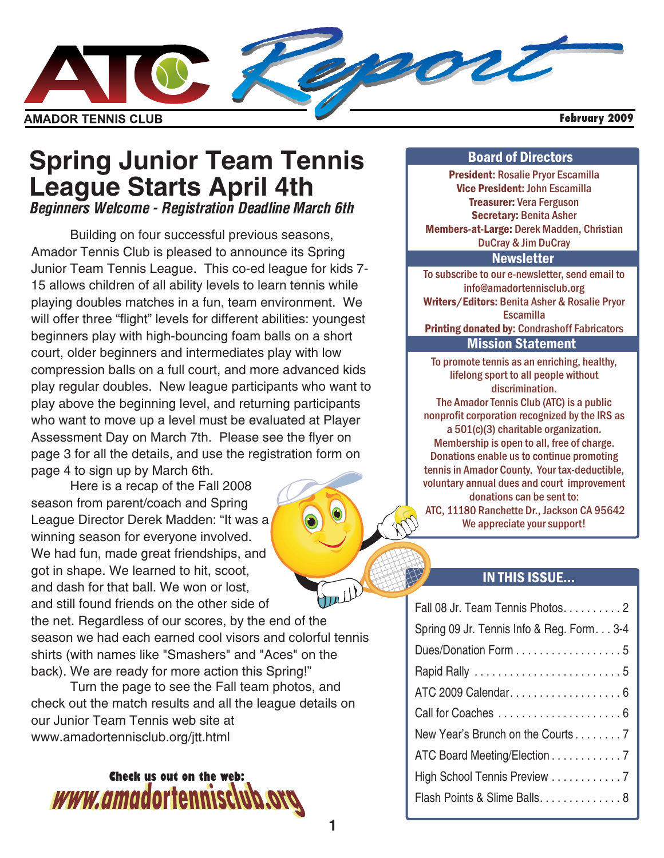

### **Spring Junior Team Tennis League Starts April 4th** *Beginners Welcome - Registration Deadline March 6th*

Building on four successful previous seasons, Amador Tennis Club is pleased to announce its Spring Junior Team Tennis League. This co-ed league for kids 7- 15 allows children of all ability levels to learn tennis while playing doubles matches in a fun, team environment. We will offer three "flight" levels for different abilities: youngest beginners play with high-bouncing foam balls on a short court, older beginners and intermediates play with low compression balls on a full court, and more advanced kids play regular doubles. New league participants who want to play above the beginning level, and returning participants who want to move up a level must be evaluated at Player Assessment Day on March 7th. Please see the flyer on page 3 for all the details, and use the registration form on page 4 to sign up by March 6th.

Here is a recap of the Fall 2008 season from parent/coach and Spring League Director Derek Madden: "It was a winning season for everyone involved. We had fun, made great friendships, and got in shape. We learned to hit, scoot, and dash for that ball. We won or lost, Jull and still found friends on the other side of the net. Regardless of our scores, by the end of the season we had each earned cool visors and colorful tennis shirts (with names like "Smashers" and "Aces" on the back). We are ready for more action this Spring!"

Turn the page to see the Fall team photos, and check out the match results and all the league details on our Junior Team Tennis web site at www.amadortennisclub.org/jtt.html



#### Board of Directors

President: Rosalie Pryor Escamilla Vice President: John Escamilla Treasurer: Vera Ferguson Secretary: Benita Asher Members-at-Large: Derek Madden, Christian DuCray & Jim DuCray

#### **Newsletter**

Writers/Editors: Benita Asher & Rosalie Pryor Printing donated by: Condrashoff Fabricators To subscribe to our e-newsletter, send email to info@amadortennisclub.org **Escamilla** Mission Statement

To promote tennis as an enriching, healthy, lifelong sport to all people without discrimination. The Amador Tennis Club (ATC) is a public nonprofit corporation recognized by the IRS as a 501(c)(3) charitable organization. Membership is open to all, free of charge. Donations enable us to continue promoting tennis in Amador County. Your tax-deductible, voluntary annual dues and court improvement donations can be sent to: ATC, 11180 Ranchette Dr., Jackson CA 95642 We appreciate your support!

#### IN THIS ISSUE...

| Fall 08 Jr. Team Tennis Photos. 2        |
|------------------------------------------|
| Spring 09 Jr. Tennis Info & Reg. Form3-4 |
| Dues/Donation Form 5                     |
|                                          |
|                                          |
|                                          |
| New Year's Brunch on the Courts 7        |
| ATC Board Meeting/Election 7             |
| High School Tennis Preview 7             |
| Flash Points & Slime Balls 8             |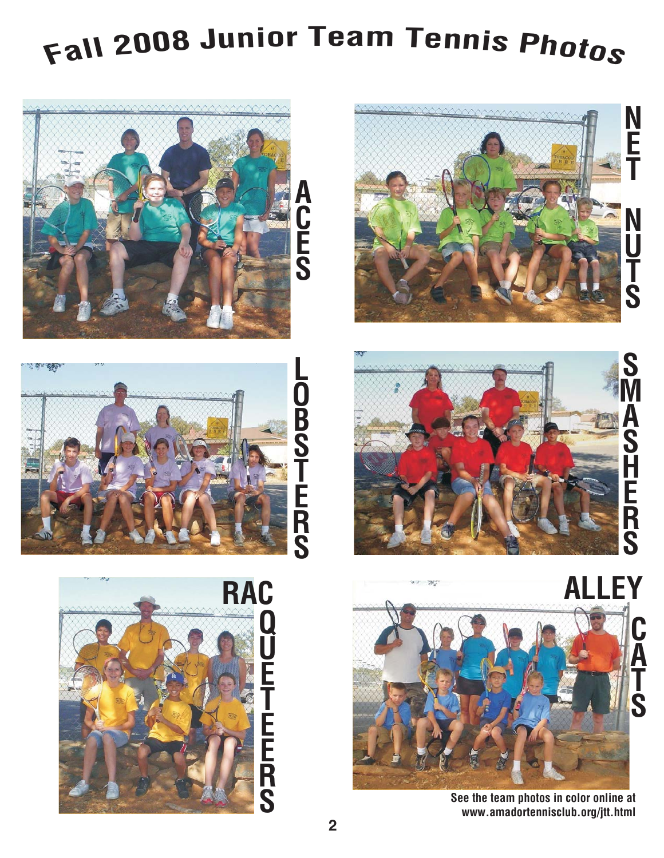# **<sup>F</sup>al<sup>l</sup> <sup>2</sup>00<sup>8</sup> Junior Tea<sup>m</sup> Tenni<sup>s</sup> <sup>P</sup>hoto<sup>s</sup>**













**S**

**N**

**E**

**T**

**N**

**U**

**T**

**S**



See the team photos in color online at www.amadortennisclub.org/jtt.html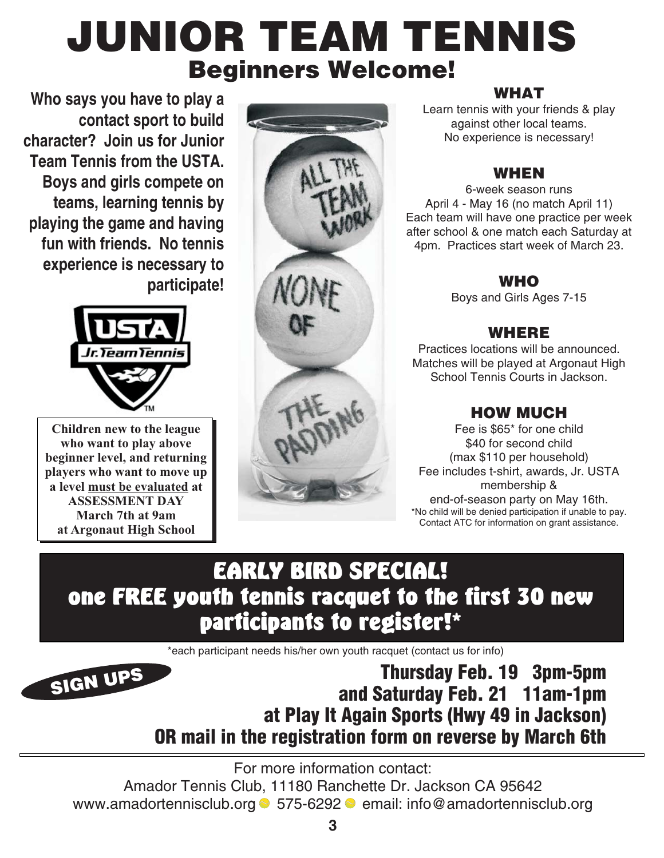## **JUNIOR TEAM TENNIS Beginners Welcome!**<br>NHAT abel and the composition of the components of the components of the components of the components of the components of the components of the components of the components of the components of the components of the components

**Who says you have to play a contact sport to build character? Join us for Junior Team Tennis from the USTA. Boys and girls compete on teams, learning tennis by playing the game and having fun with friends. No tennis experience is necessary to participate!**



**Children new to the league who want to play above beginner level, and returning players who want to move up a** level <u>must be evaluated</u> at **ASSESSMENT DAY March 7th at 9am at Argonaut High School**

Learn tennis with your friends & play against other local teams. No experience is necessary!

#### **WHEN**

6-week season runs April 4 - May 16 (no match April 11) Each team will have one practice per week after school & one match each Saturday at 4pm. Practices start week of March 23.

#### **WHO**

Boys and Girls Ages 7-15

#### **WHERE**

Practices locations will be announced. Matches will be played at Argonaut High School Tennis Courts in Jackson.

#### **HOW MUCH**

Fee is \$65\* for one child \$40 for second child (max \$110 per household) Fee includes t-shirt, awards, Jr. USTA membership & end-of-season party on May 16th. \*No child will be denied participation if unable to pay. Contact ATC for information on grant assistance.

# EARLY BIRD SPECIAL!<br>one FREE youth tennis racquet to the first 30 new participants to register!\*

\*each participant needs his/her own youth racquet (contact us for info)



Thursday Feb. 19 3pm-5pm and Saturday Feb. 21 11am-1pm at Play It Again Sports (Hwy 49 in Jackson) OR mail in the registration form on reverse by March 6th

For more information contact:

Amador Tennis Club, 11180 Ranchette Dr. Jackson CA 95642 www.amadortennisclub.org ● 575-6292 ● email: info@amadortennisclub.org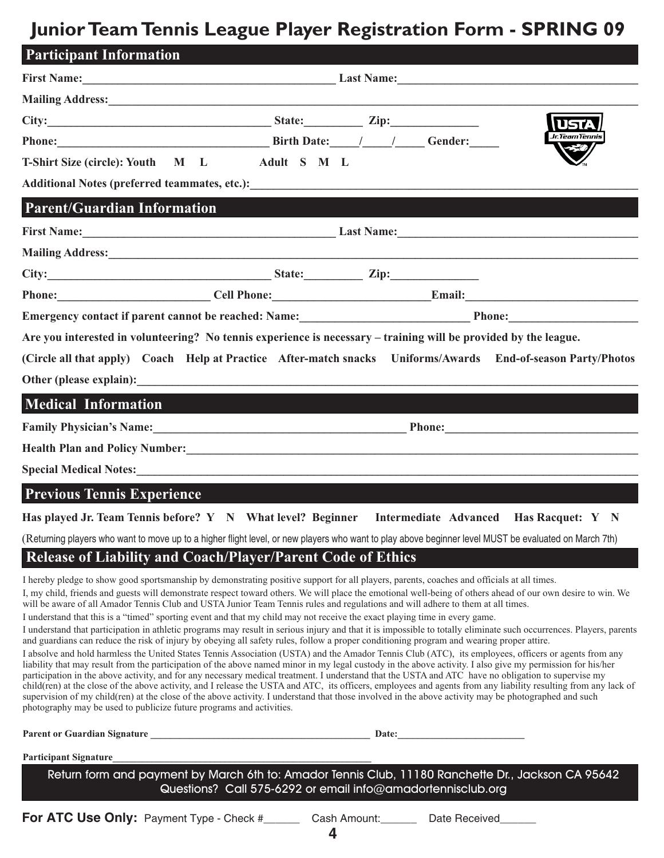#### **JuniorTeamTennis League Player Registration Form - SPRING 09**

| <b>Participant Information</b>                                                                                                                                                                                                       |  |  |                 |
|--------------------------------------------------------------------------------------------------------------------------------------------------------------------------------------------------------------------------------------|--|--|-----------------|
|                                                                                                                                                                                                                                      |  |  |                 |
| Mailing Address: 1988 and 2008 and 2008 and 2008 and 2008 and 2008 and 2008 and 2008 and 2008 and 2008 and 200                                                                                                                       |  |  |                 |
| $City:$ $Zip:$                                                                                                                                                                                                                       |  |  | lusta           |
| Phone: Gender: Gender: Containing the Birth Date: Containing the Gender:                                                                                                                                                             |  |  | Jr. Team Tenni: |
| T-Shirt Size (circle): Youth M L Adult S M L                                                                                                                                                                                         |  |  |                 |
|                                                                                                                                                                                                                                      |  |  |                 |
| <b>Parent/Guardian Information</b>                                                                                                                                                                                                   |  |  |                 |
|                                                                                                                                                                                                                                      |  |  |                 |
|                                                                                                                                                                                                                                      |  |  |                 |
| City: <u>City: Zip: Zip:</u>                                                                                                                                                                                                         |  |  |                 |
| Phone: Cell Phone: Email: Email:                                                                                                                                                                                                     |  |  |                 |
|                                                                                                                                                                                                                                      |  |  |                 |
| Are you interested in volunteering? No tennis experience is necessary – training will be provided by the league.                                                                                                                     |  |  |                 |
| (Circle all that apply) Coach Help at Practice After-match snacks Uniforms/Awards End-of-season Party/Photos                                                                                                                         |  |  |                 |
| Other (please explain): the contract of the contract of the contract of the contract of the contract of the contract of the contract of the contract of the contract of the contract of the contract of the contract of the co       |  |  |                 |
| Medical Information and the contraction of the contraction of the contraction of the contraction of the contraction                                                                                                                  |  |  |                 |
| Family Physician's Name: <u>Contained a Secret of Phone</u> Phone: <b>Contained a Phone</b> Phone:                                                                                                                                   |  |  |                 |
| Health Plan and Policy Number:<br><u> Lealth Plan and Policy Number:</u>                                                                                                                                                             |  |  |                 |
| Special Medical Notes: <u>Communications of the second contract of the second contract of the second contract of the second contract of the second contract of the second contract of the second contract of the second contract</u> |  |  |                 |
| <b>Previous Tennis Experience</b>                                                                                                                                                                                                    |  |  |                 |
| Has played Jr. Team Tennis before? Y N What level? Beginner Intermediate Advanced Has Racquet: Y N                                                                                                                                   |  |  |                 |
| (Returning players who want to move up to a higher flight level, or new players who want to play above beginner level MUST be evaluated on March 7th)                                                                                |  |  |                 |

#### **Release of Liability and Coach/Player/Parent Code of Ethics**

I hereby pledge to show good sportsmanship by demonstrating positive support for all players, parents, coaches and officials at all times.

I, my child, friends and guests will demonstrate respect toward others. We will place the emotional well-being of others ahead of our own desire to win. We will be aware of all Amador Tennis Club and USTA Junior Team Tennis rules and regulations and will adhere to them at all times.

I understand that this is a "timed" sporting event and that my child may not receive the exact playing time in every game.

I understand that participation in athletic programs may result in serious injury and that it is impossible to totally eliminate such occurrences. Players, parents and guardians can reduce the risk of injury by obeying all safety rules, follow a proper conditioning program and wearing proper attire.

I absolve and hold harmless the United States Tennis Association (USTA) and the Amador Tennis Club (ATC), its employees, officers or agents from any liability that may result from the participation of the above named minor in my legal custody in the above activity. I also give my permission for his/her participation in the above activity, and for any necessary medical treatment. I understand that the USTA and ATC have no obligation to supervise my child(ren) at the close of the above activity, and I release the USTA and ATC, its officers, employees and agents from any liability resulting from any lack of supervision of my child(ren) at the close of the above activity. I understand that those involved in the above activity may be photographed and such photography may be used to publicize future programs and activities.

**Parent or Guardian Signature \_\_\_\_\_\_\_\_\_\_\_\_\_\_\_\_\_\_\_\_\_\_\_\_\_\_\_\_\_\_\_\_\_\_\_\_\_\_\_\_\_\_\_\_\_ Date:\_\_\_\_\_\_\_\_\_\_\_\_\_\_\_\_\_\_\_\_\_\_\_\_\_\_**

Participant Signature

Return form and payment by March 6th to: Amador Tennis Club, 11180 Ranchette Dr., Jackson CA 95642 Questions? Call 575-6292 or email info@amadortennisclub.org

**For ATC Use Only:** Payment Type - Check # Lash Amount: Late Received

**4**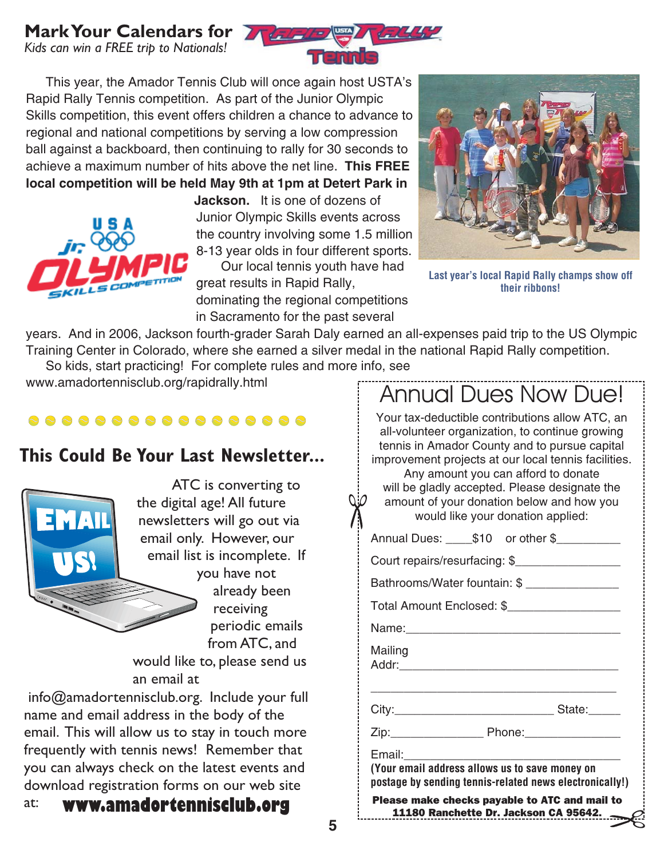#### **MarkYour Calendars for**

*Kids can win a FREE trip to Nationals!*



**This FREE** achieve a maximum number of hits above the net line. **local competition will be held May 9th at 1pm at Detert Park in** This year, the Amador Tennis Club will once again host USTA's Rapid Rally Tennis competition. As part of the Junior Olympic Skills competition, this event offers children a chance to advance to regional and national competitions by serving a low compression ball against a backboard, then continuing to rally for 30 seconds to



**Jackson.** It is one of dozens of Junior Olympic Skills events across the country involving some 1.5 million 8-13 year olds in four different sports. Our local tennis youth have had great results in Rapid Rally,

dominating the regional competitions in Sacramento for the past several



Last year's local Rapid Rally champs show off their ribbons!

years. And in 2006, Jackson fourth-grader Sarah Daly earned an all-expenses paid trip to the US Olympic Training Center in Colorado, where she earned a silver medal in the national Rapid Rally competition. So kids, start practicing! For complete rules and more info, see

www.amadortennisclub.org/rapidrally.html

#### 8 8 8 8 8 8 8 8 8 8 8 8 8 8 8 8 8 8 8

#### **This Could Be Your Last Newsletter...**



ATC is converting to the digital age! All future newsletters will go out via email only. However, our email list is incomplete. If you have not

already been receiving periodic emails from ATC, and

would like to, please send us an email at

info@amadortennisclub.org. Include your full name and email address in the body of the email. This will allow us to stay in touch more frequently with tennis news! Remember that you can always check on the latest events and download registration forms on our web site

#### at: **www.amadortennisclub.org**

| <b>Annual Dues Now Due!</b><br>Your tax-deductible contributions allow ATC, an<br>all-volunteer organization, to continue growing<br>tennis in Amador County and to pursue capital<br>improvement projects at our local tennis facilities.<br>Any amount you can afford to donate<br>will be gladly accepted. Please designate the<br>amount of your donation below and how you<br>would like your donation applied: |  |  |  |
|----------------------------------------------------------------------------------------------------------------------------------------------------------------------------------------------------------------------------------------------------------------------------------------------------------------------------------------------------------------------------------------------------------------------|--|--|--|
| Annual Dues: _____\$10 or other \$___________                                                                                                                                                                                                                                                                                                                                                                        |  |  |  |
| Court repairs/resurfacing: \$                                                                                                                                                                                                                                                                                                                                                                                        |  |  |  |
| Bathrooms/Water fountain: \$                                                                                                                                                                                                                                                                                                                                                                                         |  |  |  |
| Total Amount Enclosed: \$                                                                                                                                                                                                                                                                                                                                                                                            |  |  |  |
|                                                                                                                                                                                                                                                                                                                                                                                                                      |  |  |  |
| Mailing<br>Addr:                                                                                                                                                                                                                                                                                                                                                                                                     |  |  |  |
|                                                                                                                                                                                                                                                                                                                                                                                                                      |  |  |  |
|                                                                                                                                                                                                                                                                                                                                                                                                                      |  |  |  |
| Email:<br>(Your email address allows us to save money on<br>postage by sending tennis-related news electronically!)                                                                                                                                                                                                                                                                                                  |  |  |  |
| Please make checks payable to ATC and mail to<br>11180 Ranchette Dr. Jackson CA 95642.<br>$\epsilon$                                                                                                                                                                                                                                                                                                                 |  |  |  |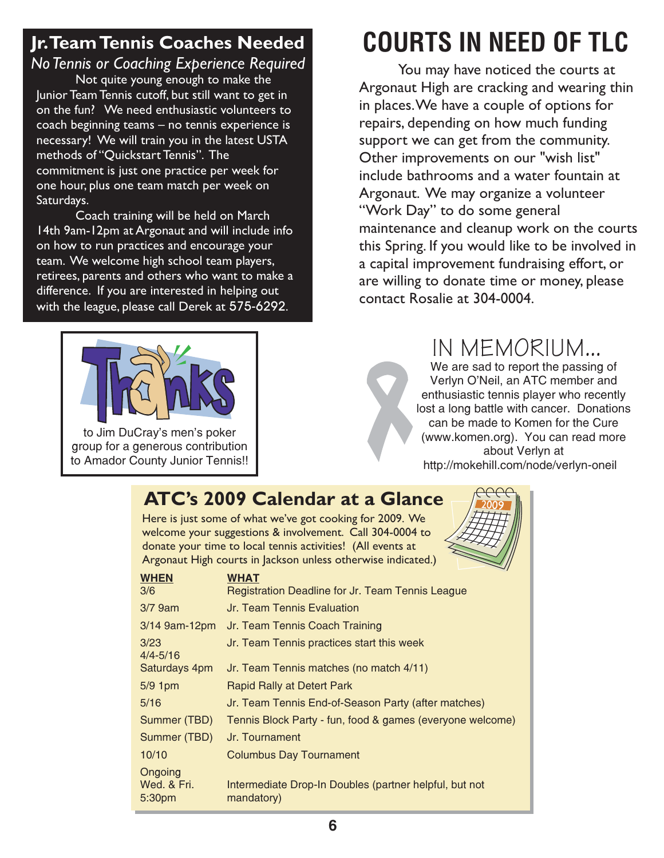#### **Jr.TeamTennis Coaches Needed** *NoTennis or Coaching Experience Required*

Not quite young enough to make the Junior Team Tennis cutoff, but still want to get in on the fun? We need enthusiastic volunteers to coach beginning teams – no tennis experience is necessary! We will train you in the latest USTA methods of "Quickstart Tennis". The commitment is just one practice per week for one hour, plus one team match per week on Saturdays.

Coach training will be held on March 14th 9am-12pm at Argonaut and will include info on how to run practices and encourage your team. We welcome high school team players, retirees, parents and others who want to make a difference. If you are interested in helping out with the league, please call Derek at 575-6292.



to Jim DuCray's men's poker group for a generous contribution to Amador County Junior Tennis!!

# COURTS IN NEED OF TLC

You may have noticed the courts at Argonaut High are cracking and wearing thin in places.We have a couple of options for repairs, depending on how much funding support we can get from the community. Other improvements on our "wish list" include bathrooms and a water fountain at Argonaut. We may organize a volunteer this Spring. If you would like to be involved in a capital improvement fundraising effort, or are willing to donate time or money, please contact Rosalie at 304-0004. "Work Day" to do some general maintenance and cleanup work on the courts

### IN MEMORIUM...

We are sad to report the passing of Verlyn O'Neil, an ATC member and enthusiastic tennis player who recently lost a long battle with cancer. Donations can be made to Komen for the Cure (www.komen.org). You can read more about Verlyn at http://mokehill.com/node/verlyn-oneil

#### **ATC's 2009 Calendar at a Glance**

Here is just some of what we've got cooking for 2009. We welcome your suggestions & involvement. Call 304-0004 to donate your time to local tennis activities! (All events at Argonaut High courts in Jackson unless otherwise indicated.)



| <b>WHEN</b><br>3/6               | $\widetilde{\phantom{a}}$<br><b>WHAT</b><br>Registration Deadline for Jr. Team Tennis League |
|----------------------------------|----------------------------------------------------------------------------------------------|
| $3/7$ 9am                        | Jr. Team Tennis Evaluation                                                                   |
| $3/14$ 9am-12pm                  | Jr. Team Tennis Coach Training                                                               |
| 3/23<br>$4/4 - 5/16$             | Jr. Team Tennis practices start this week                                                    |
| Saturdays 4pm                    | Jr. Team Tennis matches (no match 4/11)                                                      |
| 5/9 1pm                          | Rapid Rally at Detert Park                                                                   |
| 5/16                             | Jr. Team Tennis End-of-Season Party (after matches)                                          |
| Summer (TBD)                     | Tennis Block Party - fun, food & games (everyone welcome)                                    |
| Summer (TBD)                     | Jr. Tournament                                                                               |
| 10/10                            | <b>Columbus Day Tournament</b>                                                               |
| Ongoing<br>Wed. & Fri.<br>5:30pm | Intermediate Drop-In Doubles (partner helpful, but not<br>mandatory)                         |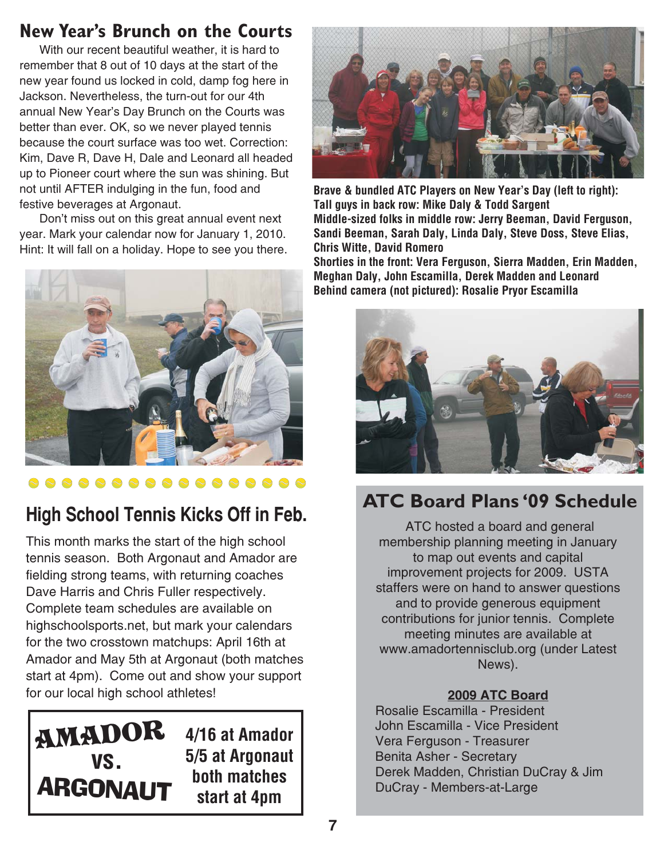#### **New Year's Brunch on the Courts**

With our recent beautiful weather, it is hard to remember that 8 out of 10 days at the start of the new year found us locked in cold, damp fog here in Jackson. Nevertheless, the turn-out for our 4th annual New Year's Day Brunch on the Courts was better than ever. OK, so we never played tennis because the court surface was too wet. Correction: Kim, Dave R, Dave H, Dale and Leonard all headed up to Pioneer court where the sun was shining. But not until AFTER indulging in the fun, food and festive beverages at Argonaut.

Don't miss out on this great annual event next year. Mark your calendar now for January 1, 2010. Hint: It will fall on a holiday. Hope to see you there.



This month marks the start of the high school tennis season. Both Argonaut and Amador are fielding strong teams, with returning coaches Dave Harris and Chris Fuller respectively. Complete team schedules are available on highschoolsports.net, but mark your calendars for the two crosstown matchups: April 16th at Amador and May 5th at Argonaut (both matches start at 4pm). Come out and show your support for our local high school athletes!



**Brave & bundled ATC Players on New Year's Day (left to right):** Tall guys in back row: Mike Daly & Todd Sargent Middle-sized folks in middle row: Jerry Beeman, David Ferguson, Sandi Beeman, Sarah Daly, Linda Daly, Steve Doss, Steve Elias, Chris Witte, David Romero

Shorties in the front: Vera Ferguson, Sierra Madden, Erin Madden, Meghan Daly, John Escamilla, Derek Madden and Leonard Behind camera (not pictured): Rosalie Pryor Escamilla



### **ATC Board Plans '09 Schedule**

ATC hosted a board and general membership planning meeting in January to map out events and capital improvement projects for 2009. USTA staffers were on hand to answer questions and to provide generous equipment contributions for junior tennis. Complete meeting minutes are available at www.amadortennisclub.org (under Latest News).

#### **2009 ATC Board**

Rosalie Escamilla - President John Escamilla - Vice President Vera Ferguson - Treasurer Benita Asher - Secretary Derek Madden, Christian DuCray & Jim DuCray - Members-at-Large